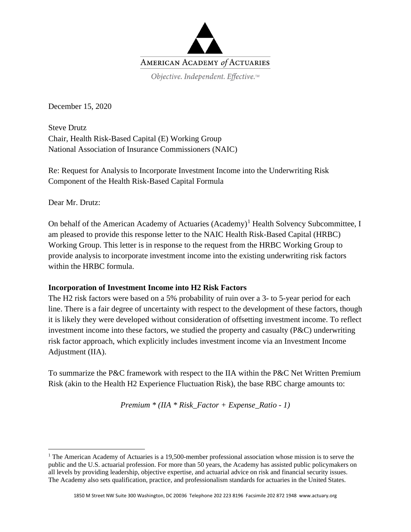

December 15, 2020

Steve Drutz Chair, Health Risk-Based Capital (E) Working Group National Association of Insurance Commissioners (NAIC)

Re: Request for Analysis to Incorporate Investment Income into the Underwriting Risk Component of the Health Risk-Based Capital Formula

Dear Mr. Drutz:

On behalf of the American Academy of Actuaries  $(Academy)^T$  Health Solvency Subcommittee, I am pleased to provide this response letter to the NAIC Health Risk-Based Capital (HRBC) Working Group. This letter is in response to the request from the HRBC Working Group to provide analysis to incorporate investment income into the existing underwriting risk factors within the HRBC formula.

## **Incorporation of Investment Income into H2 Risk Factors**

The H2 risk factors were based on a 5% probability of ruin over a 3- to 5-year period for each line. There is a fair degree of uncertainty with respect to the development of these factors, though it is likely they were developed without consideration of offsetting investment income. To reflect investment income into these factors, we studied the property and casualty  $(P\&C)$  underwriting risk factor approach, which explicitly includes investment income via an Investment Income Adjustment (IIA).

To summarize the P&C framework with respect to the IIA within the P&C Net Written Premium Risk (akin to the Health H2 Experience Fluctuation Risk), the base RBC charge amounts to:

*Premium \* (IIA \* Risk\_Factor + Expense\_Ratio - 1)*

<span id="page-0-0"></span><sup>&</sup>lt;sup>1</sup> The American Academy of Actuaries is a 19,500-member professional association whose mission is to serve the public and the U.S. actuarial profession. For more than 50 years, the Academy has assisted public policymakers on all levels by providing leadership, objective expertise, and actuarial advice on risk and financial security issues. The Academy also sets qualification, practice, and professionalism standards for actuaries in the United States.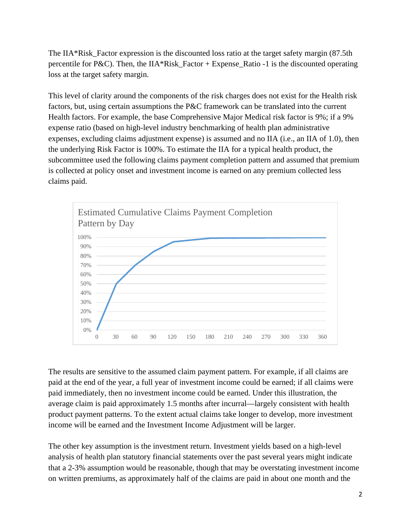The IIA\*Risk Factor expression is the discounted loss ratio at the target safety margin  $(87.5th)$ percentile for P&C). Then, the IIA\*Risk Factor + Expense Ratio -1 is the discounted operating loss at the target safety margin.

This level of clarity around the components of the risk charges does not exist for the Health risk factors, but, using certain assumptions the P&C framework can be translated into the current Health factors. For example, the base Comprehensive Major Medical risk factor is 9%; if a 9% expense ratio (based on high-level industry benchmarking of health plan administrative expenses, excluding claims adjustment expense) is assumed and no IIA (i.e., an IIA of 1.0), then the underlying Risk Factor is 100%. To estimate the IIA for a typical health product, the subcommittee used the following claims payment completion pattern and assumed that premium is collected at policy onset and investment income is earned on any premium collected less claims paid.



The results are sensitive to the assumed claim payment pattern. For example, if all claims are paid at the end of the year, a full year of investment income could be earned; if all claims were paid immediately, then no investment income could be earned. Under this illustration, the average claim is paid approximately 1.5 months after incurral—largely consistent with health product payment patterns. To the extent actual claims take longer to develop, more investment income will be earned and the Investment Income Adjustment will be larger.

The other key assumption is the investment return. Investment yields based on a high-level analysis of health plan statutory financial statements over the past several years might indicate that a 2-3% assumption would be reasonable, though that may be overstating investment income on written premiums, as approximately half of the claims are paid in about one month and the